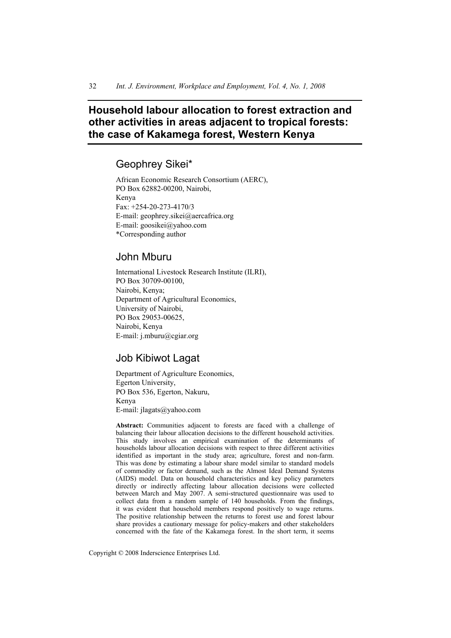# **Household labour allocation to forest extraction and other activities in areas adjacent to tropical forests: the case of Kakamega forest, Western Kenya**

## Geophrey Sikei\*

African Economic Research Consortium (AERC), PO Box 62882-00200, Nairobi, Kenya Fax: +254-20-273-4170/3 E-mail: geophrey.sikei@aercafrica.org E-mail: goosikei@yahoo.com \*Corresponding author

## John Mburu

International Livestock Research Institute (ILRI), PO Box 30709-00100, Nairobi, Kenya; Department of Agricultural Economics, University of Nairobi, PO Box 29053-00625, Nairobi, Kenya E-mail: j.mburu@cgiar.org

## Job Kibiwot Lagat

Department of Agriculture Economics, Egerton University, PO Box 536, Egerton, Nakuru, Kenya E-mail: jlagats@yahoo.com

**Abstract:** Communities adjacent to forests are faced with a challenge of balancing their labour allocation decisions to the different household activities. This study involves an empirical examination of the determinants of households labour allocation decisions with respect to three different activities identified as important in the study area; agriculture, forest and non-farm. This was done by estimating a labour share model similar to standard models of commodity or factor demand, such as the Almost Ideal Demand Systems (AIDS) model. Data on household characteristics and key policy parameters directly or indirectly affecting labour allocation decisions were collected between March and May 2007. A semi-structured questionnaire was used to collect data from a random sample of 140 households. From the findings, it was evident that household members respond positively to wage returns. The positive relationship between the returns to forest use and forest labour share provides a cautionary message for policy-makers and other stakeholders concerned with the fate of the Kakamega forest. In the short term, it seems

Copyright © 2008 Inderscience Enterprises Ltd.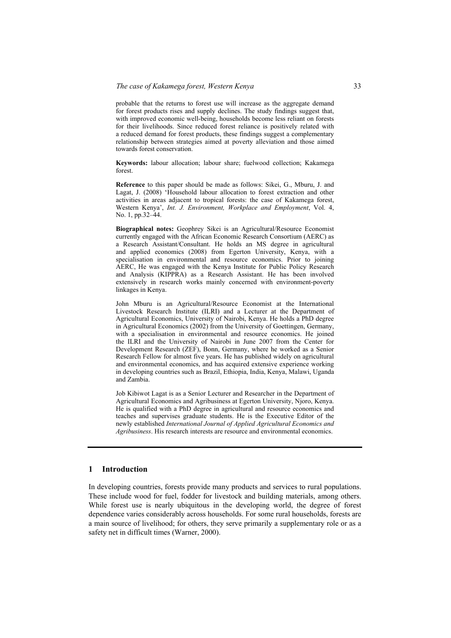probable that the returns to forest use will increase as the aggregate demand for forest products rises and supply declines. The study findings suggest that, with improved economic well-being, households become less reliant on forests for their livelihoods. Since reduced forest reliance is positively related with a reduced demand for forest products, these findings suggest a complementary relationship between strategies aimed at poverty alleviation and those aimed towards forest conservation.

**Keywords:** labour allocation; labour share; fuelwood collection; Kakamega forest.

**Reference** to this paper should be made as follows: Sikei, G., Mburu, J. and Lagat, J. (2008) 'Household labour allocation to forest extraction and other activities in areas adjacent to tropical forests: the case of Kakamega forest, Western Kenya', *Int. J. Environment, Workplace and Employment*, Vol. 4, No. 1, pp.32–44.

**Biographical notes:** Geophrey Sikei is an Agricultural/Resource Economist currently engaged with the African Economic Research Consortium (AERC) as a Research Assistant/Consultant. He holds an MS degree in agricultural and applied economics (2008) from Egerton University, Kenya, with a specialisation in environmental and resource economics. Prior to joining AERC, He was engaged with the Kenya Institute for Public Policy Research and Analysis (KIPPRA) as a Research Assistant. He has been involved extensively in research works mainly concerned with environment-poverty linkages in Kenya.

John Mburu is an Agricultural/Resource Economist at the International Livestock Research Institute (ILRI) and a Lecturer at the Department of Agricultural Economics, University of Nairobi, Kenya. He holds a PhD degree in Agricultural Economics (2002) from the University of Goettingen, Germany, with a specialisation in environmental and resource economics. He joined the ILRI and the University of Nairobi in June 2007 from the Center for Development Research (ZEF), Bonn, Germany, where he worked as a Senior Research Fellow for almost five years. He has published widely on agricultural and environmental economics, and has acquired extensive experience working in developing countries such as Brazil, Ethiopia, India, Kenya, Malawi, Uganda and Zambia.

Job Kibiwot Lagat is as a Senior Lecturer and Researcher in the Department of Agricultural Economics and Agribusiness at Egerton University, Njoro, Kenya. He is qualified with a PhD degree in agricultural and resource economics and teaches and supervises graduate students. He is the Executive Editor of the newly established *International Journal of Applied Agricultural Economics and Agribusiness*. His research interests are resource and environmental economics.

#### **1 Introduction**

In developing countries, forests provide many products and services to rural populations. These include wood for fuel, fodder for livestock and building materials, among others. While forest use is nearly ubiquitous in the developing world, the degree of forest dependence varies considerably across households. For some rural households, forests are a main source of livelihood; for others, they serve primarily a supplementary role or as a safety net in difficult times (Warner, 2000).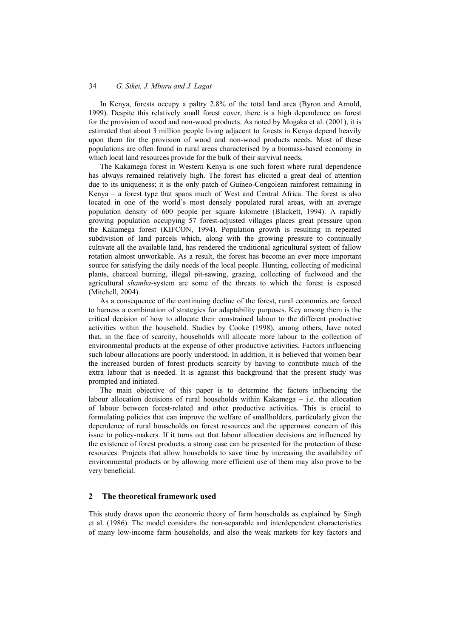In Kenya, forests occupy a paltry 2.8% of the total land area (Byron and Arnold, 1999). Despite this relatively small forest cover, there is a high dependence on forest for the provision of wood and non-wood products. As noted by Mogaka et al. (2001), it is estimated that about 3 million people living adjacent to forests in Kenya depend heavily upon them for the provision of wood and non-wood products needs. Most of these populations are often found in rural areas characterised by a biomass-based economy in which local land resources provide for the bulk of their survival needs.

The Kakamega forest in Western Kenya is one such forest where rural dependence has always remained relatively high. The forest has elicited a great deal of attention due to its uniqueness; it is the only patch of Guineo-Congolean rainforest remaining in Kenya – a forest type that spans much of West and Central Africa. The forest is also located in one of the world's most densely populated rural areas, with an average population density of 600 people per square kilometre (Blackett, 1994). A rapidly growing population occupying 57 forest-adjusted villages places great pressure upon the Kakamega forest (KIFCON, 1994). Population growth is resulting in repeated subdivision of land parcels which, along with the growing pressure to continually cultivate all the available land, has rendered the traditional agricultural system of fallow rotation almost unworkable. As a result, the forest has become an ever more important source for satisfying the daily needs of the local people. Hunting, collecting of medicinal plants, charcoal burning, illegal pit-sawing, grazing, collecting of fuelwood and the agricultural *shamba*-system are some of the threats to which the forest is exposed (Mitchell, 2004).

As a consequence of the continuing decline of the forest, rural economies are forced to harness a combination of strategies for adaptability purposes. Key among them is the critical decision of how to allocate their constrained labour to the different productive activities within the household. Studies by Cooke (1998), among others, have noted that, in the face of scarcity, households will allocate more labour to the collection of environmental products at the expense of other productive activities. Factors influencing such labour allocations are poorly understood. In addition, it is believed that women bear the increased burden of forest products scarcity by having to contribute much of the extra labour that is needed. It is against this background that the present study was prompted and initiated.

The main objective of this paper is to determine the factors influencing the labour allocation decisions of rural households within Kakamega – i.e. the allocation of labour between forest-related and other productive activities. This is crucial to formulating policies that can improve the welfare of smallholders, particularly given the dependence of rural households on forest resources and the uppermost concern of this issue to policy-makers. If it turns out that labour allocation decisions are influenced by the existence of forest products, a strong case can be presented for the protection of these resources. Projects that allow households to save time by increasing the availability of environmental products or by allowing more efficient use of them may also prove to be very beneficial.

## **2 The theoretical framework used**

This study draws upon the economic theory of farm households as explained by Singh et al. (1986). The model considers the non-separable and interdependent characteristics of many low-income farm households, and also the weak markets for key factors and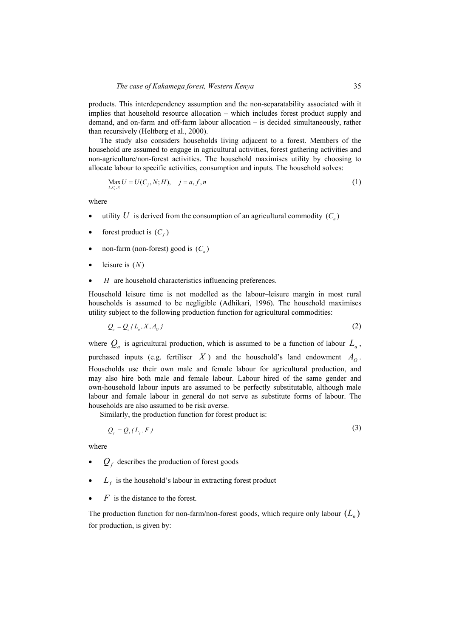products. This interdependency assumption and the non-separatability associated with it implies that household resource allocation – which includes forest product supply and demand, and on-farm and off-farm labour allocation – is decided simultaneously, rather than recursively (Heltberg et al., 2000).

The study also considers households living adjacent to a forest. Members of the household are assumed to engage in agricultural activities, forest gathering activities and non-agriculture/non-forest activities. The household maximises utility by choosing to allocate labour to specific activities, consumption and inputs. The household solves:

$$
\max_{L,C_i,X} U = U(C_j, N;H), \quad j = a, f, n
$$
\n<sup>(1)</sup>

where

- utility U is derived from the consumption of an agricultural commodity  $(C_a)$
- forest product is  $(C_f)$
- non-farm (non-forest) good is  $(C_n)$
- leisure is  $(N)$
- *H* are household characteristics influencing preferences.

Household leisure time is not modelled as the labour–leisure margin in most rural households is assumed to be negligible (Adhikari, 1996). The household maximises utility subject to the following production function for agricultural commodities:

$$
Q_a = Q_a \{L_a, X, A_0\} \tag{2}
$$

where  $Q_a$  is agricultural production, which is assumed to be a function of labour  $L_a$ , purchased inputs (e.g. fertiliser  $X$ ) and the household's land endowment  $A_{\Omega}$ . Households use their own male and female labour for agricultural production, and may also hire both male and female labour. Labour hired of the same gender and own-household labour inputs are assumed to be perfectly substitutable, although male labour and female labour in general do not serve as substitute forms of labour. The households are also assumed to be risk averse.

Similarly, the production function for forest product is:

$$
Q_f = Q_f(L_f, F) \tag{3}
$$

where

- $Q_f$  describes the production of forest goods
- $L_f$  is the household's labour in extracting forest product
- $F$  is the distance to the forest.

The production function for non-farm/non-forest goods, which require only labour  $(L_n)$ for production, is given by: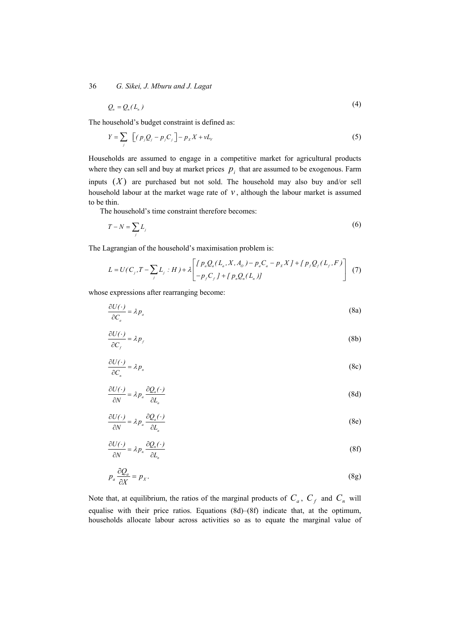$$
Q_n = Q_n(L_n) \tag{4}
$$

The household's budget constraint is defined as:

$$
Y = \sum_{j} \left[ (p_j Q_j - p_j C_j) - p_x X + v L_v \right] \tag{5}
$$

Households are assumed to engage in a competitive market for agricultural products where they can sell and buy at market prices  $p_i$  that are assumed to be exogenous. Farm inputs  $(X)$  are purchased but not sold. The household may also buy and/or sell household labour at the market wage rate of  $v$ , although the labour market is assumed to be thin.

The household's time constraint therefore becomes:

$$
T - N = \sum_{j} L_j \tag{6}
$$

The Lagrangian of the household's maximisation problem is:

$$
L = U(C_j, T - \sum_j L_j : H) + \lambda \begin{bmatrix} I \, p_a Q_a(L_a, X, A_o) - p_a C_a - p_x X J + I \, p_j Q_f(L_j, F) \\ -p_j C_f J + I \, p_n Q_n(L_n) J \end{bmatrix} \tag{7}
$$

whose expressions after rearranging become:

$$
\frac{\partial U(\cdot)}{\partial C_a} = \lambda p_a \tag{8a}
$$

$$
\frac{\partial U(\cdot)}{\partial C_f} = \lambda p_f \tag{8b}
$$

$$
\frac{\partial U(\cdot)}{\partial C_n} = \lambda p_n \tag{8c}
$$

$$
\frac{\partial U(\cdot)}{\partial N} = \lambda p_a \frac{\partial Q_a(\cdot)}{\partial L_a} \tag{8d}
$$

$$
\frac{\partial U(\cdot)}{\partial N} = \lambda p_a \frac{\partial Q_a(\cdot)}{\partial L_a} \tag{8e}
$$

$$
\frac{\partial U(\cdot)}{\partial N} = \lambda p_n \frac{\partial Q_n(\cdot)}{\partial L_n}
$$
\n(8f)

$$
p_a \frac{\partial Q_a}{\partial X} = p_X. \tag{8g}
$$

Note that, at equilibrium, the ratios of the marginal products of  $C_a$ ,  $C_f$  and  $C_n$  will equalise with their price ratios. Equations (8d)–(8f) indicate that, at the optimum, households allocate labour across activities so as to equate the marginal value of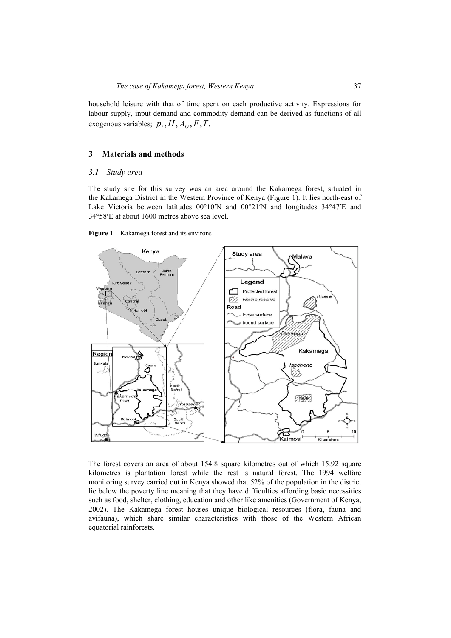household leisure with that of time spent on each productive activity. Expressions for labour supply, input demand and commodity demand can be derived as functions of all exogenous variables;  $p_i$ ,  $H$ ,  $A_0$ ,  $F$ ,  $T$ .

## **3 Materials and methods**

## *3.1 Study area*

The study site for this survey was an area around the Kakamega forest, situated in the Kakamega District in the Western Province of Kenya (Figure 1). It lies north-east of Lake Victoria between latitudes 00°10′N and 00°21′N and longitudes 34°47′E and 34°58′E at about 1600 metres above sea level.

#### Figure 1 Kakamega forest and its environs



The forest covers an area of about 154.8 square kilometres out of which 15.92 square kilometres is plantation forest while the rest is natural forest. The 1994 welfare monitoring survey carried out in Kenya showed that 52% of the population in the district lie below the poverty line meaning that they have difficulties affording basic necessities such as food, shelter, clothing, education and other like amenities (Government of Kenya, 2002). The Kakamega forest houses unique biological resources (flora, fauna and avifauna), which share similar characteristics with those of the Western African equatorial rainforests.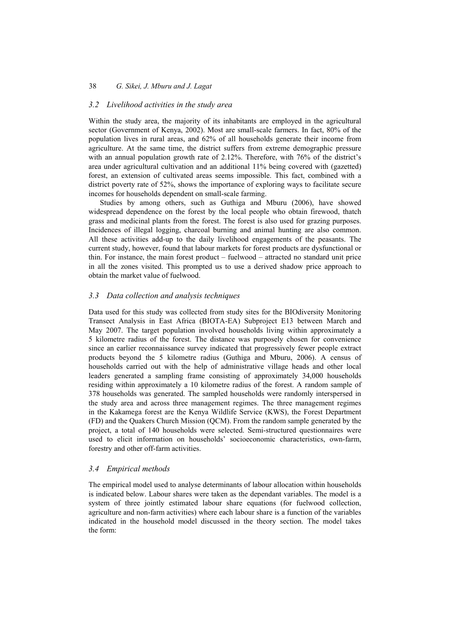### *3.2 Livelihood activities in the study area*

Within the study area, the majority of its inhabitants are employed in the agricultural sector (Government of Kenya, 2002). Most are small-scale farmers. In fact, 80% of the population lives in rural areas, and 62% of all households generate their income from agriculture. At the same time, the district suffers from extreme demographic pressure with an annual population growth rate of 2.12%. Therefore, with 76% of the district's area under agricultural cultivation and an additional 11% being covered with (gazetted) forest, an extension of cultivated areas seems impossible. This fact, combined with a district poverty rate of 52%, shows the importance of exploring ways to facilitate secure incomes for households dependent on small-scale farming.

Studies by among others, such as Guthiga and Mburu (2006), have showed widespread dependence on the forest by the local people who obtain firewood, thatch grass and medicinal plants from the forest. The forest is also used for grazing purposes. Incidences of illegal logging, charcoal burning and animal hunting are also common. All these activities add-up to the daily livelihood engagements of the peasants. The current study, however, found that labour markets for forest products are dysfunctional or thin. For instance, the main forest product – fuelwood – attracted no standard unit price in all the zones visited. This prompted us to use a derived shadow price approach to obtain the market value of fuelwood.

#### *3.3 Data collection and analysis techniques*

Data used for this study was collected from study sites for the BIOdiversity Monitoring Transect Analysis in East Africa (BIOTA-EA) Subproject E13 between March and May 2007. The target population involved households living within approximately a 5 kilometre radius of the forest. The distance was purposely chosen for convenience since an earlier reconnaissance survey indicated that progressively fewer people extract products beyond the 5 kilometre radius (Guthiga and Mburu, 2006). A census of households carried out with the help of administrative village heads and other local leaders generated a sampling frame consisting of approximately 34,000 households residing within approximately a 10 kilometre radius of the forest. A random sample of 378 households was generated. The sampled households were randomly interspersed in the study area and across three management regimes. The three management regimes in the Kakamega forest are the Kenya Wildlife Service (KWS), the Forest Department (FD) and the Quakers Church Mission (QCM). From the random sample generated by the project, a total of 140 households were selected. Semi-structured questionnaires were used to elicit information on households' socioeconomic characteristics, own-farm, forestry and other off-farm activities.

### *3.4 Empirical methods*

The empirical model used to analyse determinants of labour allocation within households is indicated below. Labour shares were taken as the dependant variables. The model is a system of three jointly estimated labour share equations (for fuelwood collection, agriculture and non-farm activities) where each labour share is a function of the variables indicated in the household model discussed in the theory section. The model takes the form: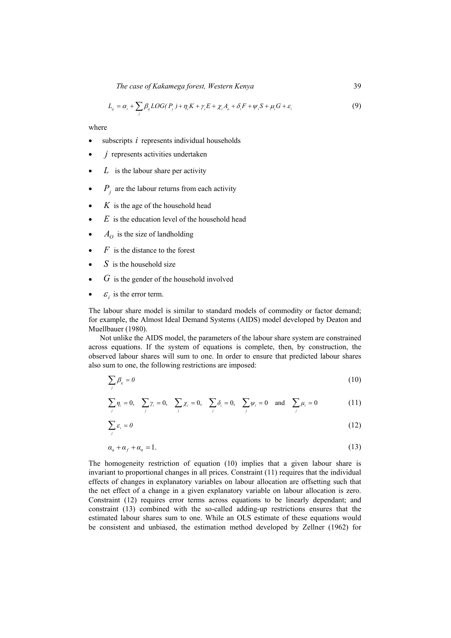*The case of Kakamega forest, Western Kenya* 39

$$
L_{ij} = \alpha_i + \sum_j \beta_{ij} LOG(P_j) + \eta_i K + \gamma_i E + \chi_i A_o + \delta_i F + \psi_i S + \mu_i G + \varepsilon_i
$$
\n(9)

where

- subscripts  $i$  represents individual households
- *j* represents activities undertaken
- $L$  is the labour share per activity
- $P_i$  are the labour returns from each activity
- $K$  is the age of the household head
- $E$  is the education level of the household head
- $A_{\Omega}$  is the size of landholding
- $F$  is the distance to the forest
- $S$  is the household size
- $G$  is the gender of the household involved
- $\varepsilon_i$  is the error term.

The labour share model is similar to standard models of commodity or factor demand; for example, the Almost Ideal Demand Systems (AIDS) model developed by Deaton and Muellbauer (1980).

Not unlike the AIDS model, the parameters of the labour share system are constrained across equations. If the system of equations is complete, then, by construction, the observed labour shares will sum to one. In order to ensure that predicted labour shares also sum to one, the following restrictions are imposed:

$$
\sum_{j} \beta_{ij} = 0 \tag{10}
$$

$$
\sum_{j} \eta_{i} = 0, \quad \sum_{j} \gamma_{i} = 0, \quad \sum_{j} \chi_{i} = 0, \quad \sum_{j} \delta_{i} = 0, \quad \sum_{j} \psi_{i} = 0 \quad \text{and} \quad \sum_{j} \mu_{i} = 0 \tag{11}
$$

$$
\sum_{i} \varepsilon_{i} = 0 \tag{12}
$$

$$
\alpha_a + \alpha_f + \alpha_n = 1. \tag{13}
$$

The homogeneity restriction of equation (10) implies that a given labour share is invariant to proportional changes in all prices. Constraint (11) requires that the individual effects of changes in explanatory variables on labour allocation are offsetting such that the net effect of a change in a given explanatory variable on labour allocation is zero. Constraint (12) requires error terms across equations to be linearly dependant; and constraint (13) combined with the so-called adding-up restrictions ensures that the estimated labour shares sum to one. While an OLS estimate of these equations would be consistent and unbiased, the estimation method developed by Zellner (1962) for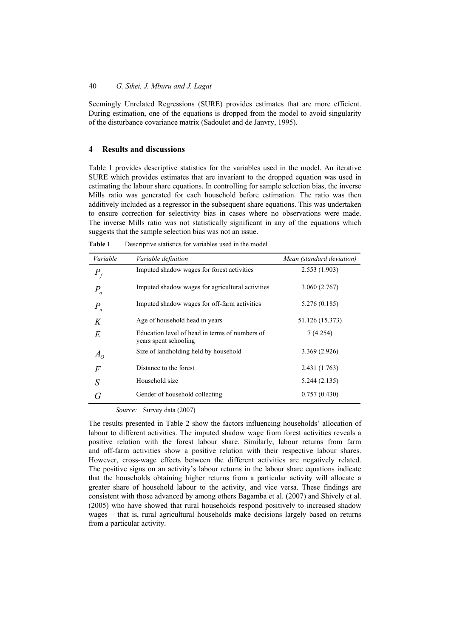Seemingly Unrelated Regressions (SURE) provides estimates that are more efficient. During estimation, one of the equations is dropped from the model to avoid singularity of the disturbance covariance matrix (Sadoulet and de Janvry, 1995).

#### **4 Results and discussions**

Table 1 provides descriptive statistics for the variables used in the model. An iterative SURE which provides estimates that are invariant to the dropped equation was used in estimating the labour share equations. In controlling for sample selection bias, the inverse Mills ratio was generated for each household before estimation. The ratio was then additively included as a regressor in the subsequent share equations. This was undertaken to ensure correction for selectivity bias in cases where no observations were made. The inverse Mills ratio was not statistically significant in any of the equations which suggests that the sample selection bias was not an issue.

**Table 1** Descriptive statistics for variables used in the model

| Variable       | Variable definition                                                     | Mean (standard deviation) |
|----------------|-------------------------------------------------------------------------|---------------------------|
| $P_{f}$        | Imputed shadow wages for forest activities                              | 2.553(1.903)              |
| $P_a$          | Imputed shadow wages for agricultural activities                        | 3.060(2.767)              |
| $P_n$          | Imputed shadow wages for off-farm activities                            | 5.276 (0.185)             |
| K              | Age of household head in years                                          | 51.126 (15.373)           |
| E              | Education level of head in terms of numbers of<br>years spent schooling | 7(4.254)                  |
| $A_{O}$        | Size of landholding held by household                                   | 3.369(2.926)              |
| $\overline{F}$ | Distance to the forest                                                  | 2.431 (1.763)             |
| S              | Household size                                                          | 5.244(2.135)              |
| G              | Gender of household collecting                                          | 0.757(0.430)              |

*Source:* Survey data (2007)

The results presented in Table 2 show the factors influencing households' allocation of labour to different activities. The imputed shadow wage from forest activities reveals a positive relation with the forest labour share. Similarly, labour returns from farm and off-farm activities show a positive relation with their respective labour shares. However, cross-wage effects between the different activities are negatively related. The positive signs on an activity's labour returns in the labour share equations indicate that the households obtaining higher returns from a particular activity will allocate a greater share of household labour to the activity, and vice versa. These findings are consistent with those advanced by among others Bagamba et al. (2007) and Shively et al. (2005) who have showed that rural households respond positively to increased shadow wages – that is, rural agricultural households make decisions largely based on returns from a particular activity.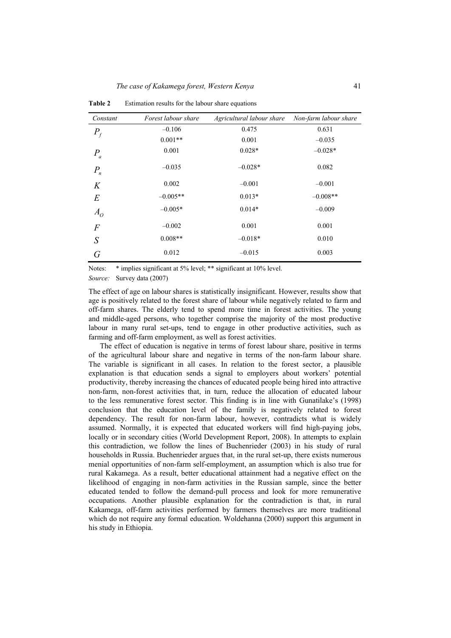| Constant                   | Forest labour share | Agricultural labour share | Non-farm labour share |
|----------------------------|---------------------|---------------------------|-----------------------|
| $P_f$                      | $-0.106$            | 0.475                     | 0.631                 |
|                            | $0.001**$           | 0.001                     | $-0.035$              |
| $P_a$                      | 0.001               | $0.028*$                  | $-0.028*$             |
| $P_n$                      | $-0.035$            | $-0.028*$                 | 0.082                 |
| K                          | 0.002               | $-0.001$                  | $-0.001$              |
| $E\,$                      | $-0.005**$          | $0.013*$                  | $-0.008**$            |
| $A_{\scriptscriptstyle O}$ | $-0.005*$           | $0.014*$                  | $-0.009$              |
| $\overline{F}$             | $-0.002$            | 0.001                     | 0.001                 |
| ${\cal S}$                 | $0.008**$           | $-0.018*$                 | 0.010                 |
| G                          | 0.012               | $-0.015$                  | 0.003                 |

**Table 2** Estimation results for the labour share equations

Notes: \* implies significant at 5% level; \*\* significant at 10% level.

*Source:* Survey data (2007)

The effect of age on labour shares is statistically insignificant. However, results show that age is positively related to the forest share of labour while negatively related to farm and off-farm shares. The elderly tend to spend more time in forest activities. The young and middle-aged persons, who together comprise the majority of the most productive labour in many rural set-ups, tend to engage in other productive activities, such as farming and off-farm employment, as well as forest activities.

The effect of education is negative in terms of forest labour share, positive in terms of the agricultural labour share and negative in terms of the non-farm labour share. The variable is significant in all cases. In relation to the forest sector, a plausible explanation is that education sends a signal to employers about workers' potential productivity, thereby increasing the chances of educated people being hired into attractive non-farm, non-forest activities that, in turn, reduce the allocation of educated labour to the less remunerative forest sector. This finding is in line with Gunatilake's (1998) conclusion that the education level of the family is negatively related to forest dependency. The result for non-farm labour, however, contradicts what is widely assumed. Normally, it is expected that educated workers will find high-paying jobs, locally or in secondary cities (World Development Report, 2008). In attempts to explain this contradiction, we follow the lines of Buchenrieder (2003) in his study of rural households in Russia. Buchenrieder argues that, in the rural set-up, there exists numerous menial opportunities of non-farm self-employment, an assumption which is also true for rural Kakamega. As a result, better educational attainment had a negative effect on the likelihood of engaging in non-farm activities in the Russian sample, since the better educated tended to follow the demand-pull process and look for more remunerative occupations. Another plausible explanation for the contradiction is that, in rural Kakamega, off-farm activities performed by farmers themselves are more traditional which do not require any formal education. Woldehanna (2000) support this argument in his study in Ethiopia.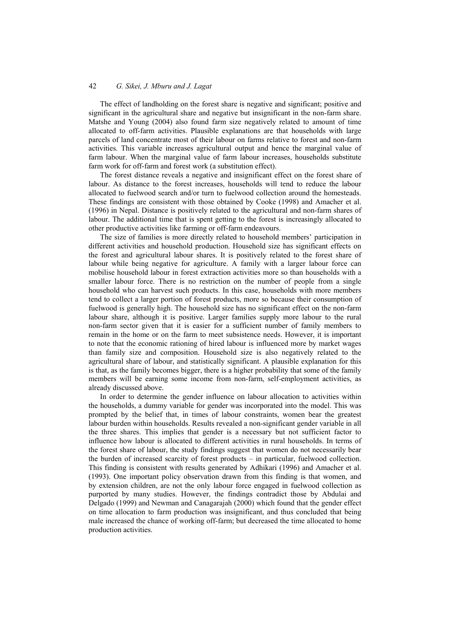The effect of landholding on the forest share is negative and significant; positive and significant in the agricultural share and negative but insignificant in the non-farm share. Matshe and Young (2004) also found farm size negatively related to amount of time allocated to off-farm activities. Plausible explanations are that households with large parcels of land concentrate most of their labour on farms relative to forest and non-farm activities. This variable increases agricultural output and hence the marginal value of farm labour. When the marginal value of farm labour increases, households substitute farm work for off-farm and forest work (a substitution effect).

The forest distance reveals a negative and insignificant effect on the forest share of labour. As distance to the forest increases, households will tend to reduce the labour allocated to fuelwood search and/or turn to fuelwood collection around the homesteads. These findings are consistent with those obtained by Cooke (1998) and Amacher et al. (1996) in Nepal. Distance is positively related to the agricultural and non-farm shares of labour. The additional time that is spent getting to the forest is increasingly allocated to other productive activities like farming or off-farm endeavours.

The size of families is more directly related to household members' participation in different activities and household production. Household size has significant effects on the forest and agricultural labour shares. It is positively related to the forest share of labour while being negative for agriculture. A family with a larger labour force can mobilise household labour in forest extraction activities more so than households with a smaller labour force. There is no restriction on the number of people from a single household who can harvest such products. In this case, households with more members tend to collect a larger portion of forest products, more so because their consumption of fuelwood is generally high. The household size has no significant effect on the non-farm labour share, although it is positive. Larger families supply more labour to the rural non-farm sector given that it is easier for a sufficient number of family members to remain in the home or on the farm to meet subsistence needs. However, it is important to note that the economic rationing of hired labour is influenced more by market wages than family size and composition. Household size is also negatively related to the agricultural share of labour, and statistically significant. A plausible explanation for this is that, as the family becomes bigger, there is a higher probability that some of the family members will be earning some income from non-farm, self-employment activities, as already discussed above.

In order to determine the gender influence on labour allocation to activities within the households, a dummy variable for gender was incorporated into the model. This was prompted by the belief that, in times of labour constraints, women bear the greatest labour burden within households. Results revealed a non-significant gender variable in all the three shares. This implies that gender is a necessary but not sufficient factor to influence how labour is allocated to different activities in rural households. In terms of the forest share of labour, the study findings suggest that women do not necessarily bear the burden of increased scarcity of forest products – in particular, fuelwood collection. This finding is consistent with results generated by Adhikari (1996) and Amacher et al. (1993). One important policy observation drawn from this finding is that women, and by extension children, are not the only labour force engaged in fuelwood collection as purported by many studies. However, the findings contradict those by Abdulai and Delgado (1999) and Newman and Canagarajah (2000) which found that the gender effect on time allocation to farm production was insignificant, and thus concluded that being male increased the chance of working off-farm; but decreased the time allocated to home production activities.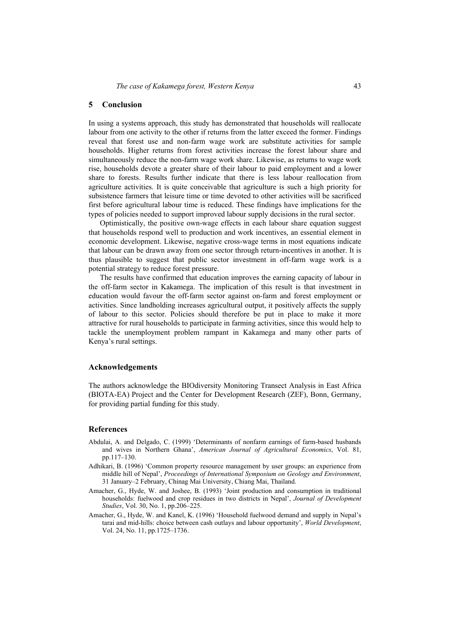#### **5 Conclusion**

In using a systems approach, this study has demonstrated that households will reallocate labour from one activity to the other if returns from the latter exceed the former. Findings reveal that forest use and non-farm wage work are substitute activities for sample households. Higher returns from forest activities increase the forest labour share and simultaneously reduce the non-farm wage work share. Likewise, as returns to wage work rise, households devote a greater share of their labour to paid employment and a lower share to forests. Results further indicate that there is less labour reallocation from agriculture activities. It is quite conceivable that agriculture is such a high priority for subsistence farmers that leisure time or time devoted to other activities will be sacrificed first before agricultural labour time is reduced. These findings have implications for the types of policies needed to support improved labour supply decisions in the rural sector.

Optimistically, the positive own-wage effects in each labour share equation suggest that households respond well to production and work incentives, an essential element in economic development. Likewise, negative cross-wage terms in most equations indicate that labour can be drawn away from one sector through return-incentives in another. It is thus plausible to suggest that public sector investment in off-farm wage work is a potential strategy to reduce forest pressure.

The results have confirmed that education improves the earning capacity of labour in the off-farm sector in Kakamega. The implication of this result is that investment in education would favour the off-farm sector against on-farm and forest employment or activities. Since landholding increases agricultural output, it positively affects the supply of labour to this sector. Policies should therefore be put in place to make it more attractive for rural households to participate in farming activities, since this would help to tackle the unemployment problem rampant in Kakamega and many other parts of Kenya's rural settings.

#### **Acknowledgements**

The authors acknowledge the BIOdiversity Monitoring Transect Analysis in East Africa (BIOTA-EA) Project and the Center for Development Research (ZEF), Bonn, Germany, for providing partial funding for this study.

#### **References**

- Abdulai, A. and Delgado, C. (1999) 'Determinants of nonfarm earnings of farm-based husbands and wives in Northern Ghana', *American Journal of Agricultural Economics*, Vol. 81, pp.117–130.
- Adhikari, B. (1996) 'Common property resource management by user groups: an experience from middle hill of Nepal', *Proceedings of International Symposium on Geology and Environment*, 31 January–2 February, Chinag Mai University, Chiang Mai, Thailand.
- Amacher, G., Hyde, W. and Joshee, B. (1993) 'Joint production and consumption in traditional households: fuelwood and crop residues in two districts in Nepal', *Journal of Development Studies*, Vol. 30, No. 1, pp.206–225.
- Amacher, G., Hyde, W. and Kanel, K. (1996) 'Household fuelwood demand and supply in Nepal's tarai and mid-hills: choice between cash outlays and labour opportunity', *World Development*, Vol. 24, No. 11, pp.1725–1736.